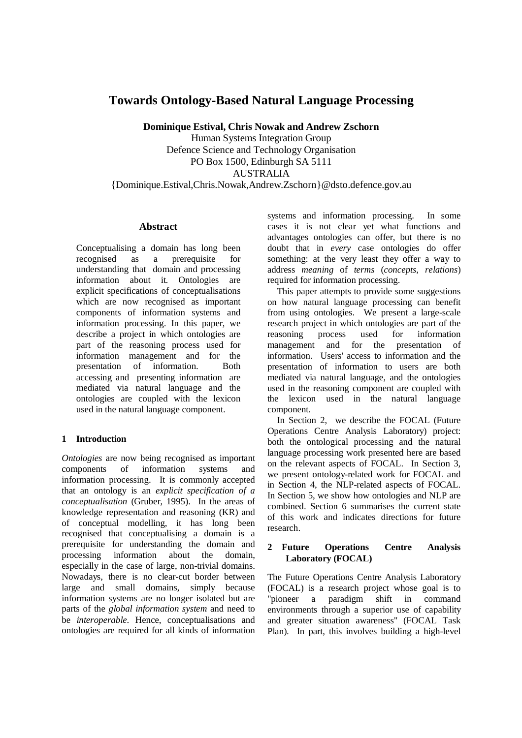# **Towards Ontology-Based Natural Language Processing**

**Dominique Estival, Chris Nowak and Andrew Zschorn**  Human Systems Integration Group Defence Science and Technology Organisation PO Box 1500, Edinburgh SA 5111 AUSTRALIA {Dominique.Estival,Chris.Nowak,Andrew.Zschorn}@dsto.defence.gov.au

### **Abstract**

Conceptualising a domain has long been recognised as a prerequisite for understanding that domain and processing information about it. Ontologies are explicit specifications of conceptualisations which are now recognised as important components of information systems and information processing. In this paper, we describe a project in which ontologies are part of the reasoning process used for information management and for the presentation of information. Both accessing and presenting information are mediated via natural language and the ontologies are coupled with the lexicon used in the natural language component.

# **1 Introduction**

*Ontologies* are now being recognised as important components of information systems and information processing. It is commonly accepted that an ontology is an *explicit specification of a conceptualisation* (Gruber, 1995). In the areas of knowledge representation and reasoning (KR) and of conceptual modelling, it has long been recognised that conceptualising a domain is a prerequisite for understanding the domain and processing information about the domain, especially in the case of large, non-trivial domains. Nowadays, there is no clear-cut border between large and small domains, simply because information systems are no longer isolated but are parts of the *global information system* and need to be *interoperable*. Hence, conceptualisations and ontologies are required for all kinds of information

systems and information processing. In some cases it is not clear yet what functions and advantages ontologies can offer, but there is no doubt that in *every* case ontologies do offer something: at the very least they offer a way to address *meaning* of *terms* (*concepts*, *relations*) required for information processing.

This paper attempts to provide some suggestions on how natural language processing can benefit from using ontologies. We present a large-scale research project in which ontologies are part of the<br>reasoning process used for information reasoning process used for information management and for the presentation of information. Users' access to information and the presentation of information to users are both mediated via natural language, and the ontologies used in the reasoning component are coupled with the lexicon used in the natural language component.

In Section 2, we describe the FOCAL (Future Operations Centre Analysis Laboratory) project: both the ontological processing and the natural language processing work presented here are based on the relevant aspects of FOCAL. In Section 3, we present ontology-related work for FOCAL and in Section 4, the NLP-related aspects of FOCAL. In Section 5, we show how ontologies and NLP are combined. Section 6 summarises the current state of this work and indicates directions for future research.

# **2 Future Operations Centre Analysis Laboratory (FOCAL)**

The Future Operations Centre Analysis Laboratory (FOCAL) is a research project whose goal is to "pioneer a paradigm shift in command environments through a superior use of capability and greater situation awareness" (FOCAL Task Plan). In part, this involves building a high-level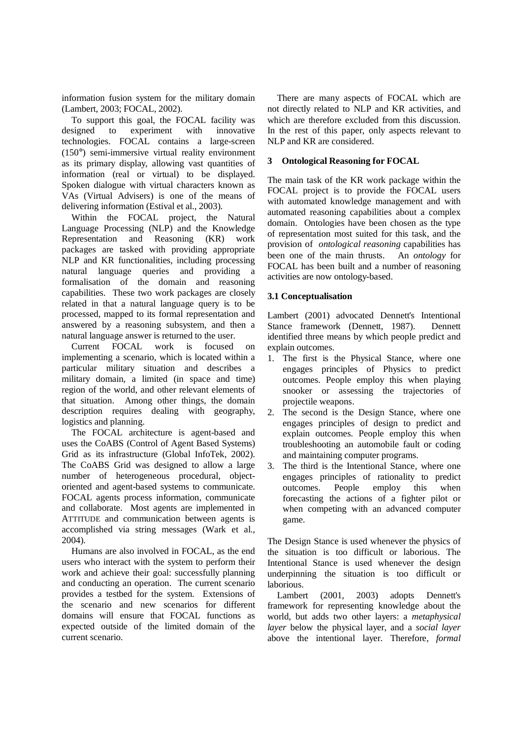information fusion system for the military domain (Lambert, 2003; FOCAL, 2002).

To support this goal, the FOCAL facility was designed to experiment with innovative technologies. FOCAL contains a large-screen (150°) semi-immersive virtual reality environment as its primary display, allowing vast quantities of information (real or virtual) to be displayed. Spoken dialogue with virtual characters known as VAs (Virtual Advisers) is one of the means of delivering information (Estival et al., 2003).

Within the FOCAL project, the Natural Language Processing (NLP) and the Knowledge Representation and Reasoning (KR) work packages are tasked with providing appropriate NLP and KR functionalities, including processing natural language queries and providing a formalisation of the domain and reasoning capabilities. These two work packages are closely related in that a natural language query is to be processed, mapped to its formal representation and answered by a reasoning subsystem, and then a natural language answer is returned to the user.

Current FOCAL work is focused on implementing a scenario, which is located within a particular military situation and describes a military domain, a limited (in space and time) region of the world, and other relevant elements of that situation. Among other things, the domain description requires dealing with geography, logistics and planning.

The FOCAL architecture is agent-based and uses the CoABS (Control of Agent Based Systems) Grid as its infrastructure (Global InfoTek, 2002). The CoABS Grid was designed to allow a large number of heterogeneous procedural, objectoriented and agent-based systems to communicate. FOCAL agents process information, communicate and collaborate. Most agents are implemented in ATTITUDE and communication between agents is accomplished via string messages (Wark et al., 2004).

Humans are also involved in FOCAL, as the end users who interact with the system to perform their work and achieve their goal: successfully planning and conducting an operation. The current scenario provides a testbed for the system. Extensions of the scenario and new scenarios for different domains will ensure that FOCAL functions as expected outside of the limited domain of the current scenario.

There are many aspects of FOCAL which are not directly related to NLP and KR activities, and which are therefore excluded from this discussion. In the rest of this paper, only aspects relevant to NLP and KR are considered.

# **3 Ontological Reasoning for FOCAL**

The main task of the KR work package within the FOCAL project is to provide the FOCAL users with automated knowledge management and with automated reasoning capabilities about a complex domain. Ontologies have been chosen as the type of representation most suited for this task, and the provision of *ontological reasoning* capabilities has been one of the main thrusts. An *ontology* for FOCAL has been built and a number of reasoning activities are now ontology-based.

# **3.1 Conceptualisation**

Lambert (2001) advocated Dennett's Intentional Stance framework (Dennett, 1987). Dennett identified three means by which people predict and explain outcomes.

- 1. The first is the Physical Stance, where one engages principles of Physics to predict outcomes. People employ this when playing snooker or assessing the trajectories of projectile weapons.
- 2. The second is the Design Stance, where one engages principles of design to predict and explain outcomes. People employ this when troubleshooting an automobile fault or coding and maintaining computer programs.
- 3. The third is the Intentional Stance, where one engages principles of rationality to predict outcomes. People employ this when forecasting the actions of a fighter pilot or when competing with an advanced computer game.

The Design Stance is used whenever the physics of the situation is too difficult or laborious. The Intentional Stance is used whenever the design underpinning the situation is too difficult or laborious.

Lambert (2001, 2003) adopts Dennett's framework for representing knowledge about the world, but adds two other layers: a *metaphysical layer* below the physical layer, and a *social layer*  above the intentional layer. Therefore, *formal*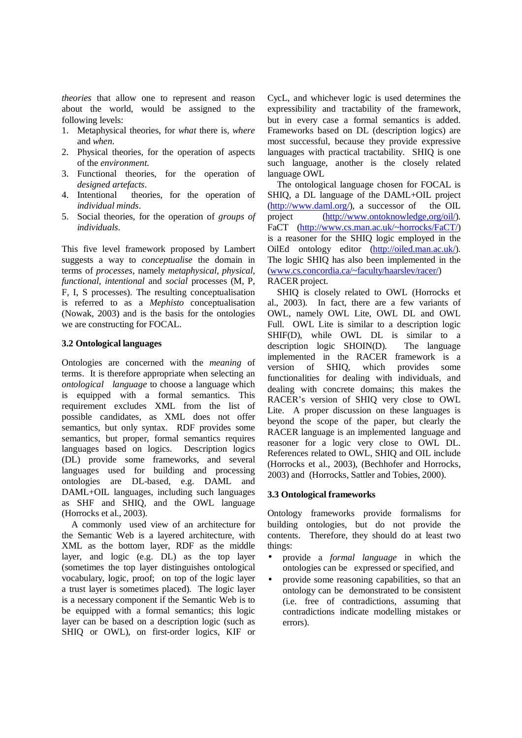*theories* that allow one to represent and reason about the world, would be assigned to the following levels:

- 1. Metaphysical theories, for *what* there is, *where* and *when*.
- 2. Physical theories, for the operation of aspects of the *environment*.
- 3. Functional theories, for the operation of *designed artefacts*.
- 4. Intentional theories, for the operation of *individual minds*.
- 5. Social theories, for the operation of *groups of individuals*.

This five level framework proposed by Lambert suggests a way to *conceptualise* the domain in terms of *processes*, namely *metaphysical, physical, functional, intentional* and *social* processes (M, P, F, I, S processes). The resulting conceptualisation is referred to as a *Mephisto* conceptualisation (Nowak, 2003) and is the basis for the ontologies we are constructing for FOCAL.

### **3.2 Ontological languages**

Ontologies are concerned with the *meaning* of terms. It is therefore appropriate when selecting an *ontological language* to choose a language which is equipped with a formal semantics. This requirement excludes XML from the list of possible candidates, as XML does not offer semantics, but only syntax. RDF provides some semantics, but proper, formal semantics requires languages based on logics. Description logics (DL) provide some frameworks, and several languages used for building and processing ontologies are DL-based, e.g. DAML and DAML+OIL languages, including such languages as SHF and SHIQ, and the OWL language (Horrocks et al., 2003).

A commonly used view of an architecture for the Semantic Web is a layered architecture, with XML as the bottom layer, RDF as the middle layer, and logic (e.g. DL) as the top layer (sometimes the top layer distinguishes ontological vocabulary, logic, proof; on top of the logic layer a trust layer is sometimes placed). The logic layer is a necessary component if the Semantic Web is to be equipped with a formal semantics; this logic layer can be based on a description logic (such as SHIQ or OWL), on first-order logics, KIF or

CycL, and whichever logic is used determines the expressibility and tractability of the framework, but in every case a formal semantics is added. Frameworks based on DL (description logics) are most successful, because they provide expressive languages with practical tractability. SHIQ is one such language, another is the closely related language OWL

The ontological language chosen for FOCAL is SHIQ, a DL language of the DAML+OIL project  $(http://www.daml.org/), a successor of the OIL$ project (http://www.ontoknowledge,org/oil/). FaCT (http://www.cs.man.ac.uk/~horrocks/FaCT/) is a reasoner for the SHIQ logic employed in the OilEd ontology editor (http://oiled.man.ac.uk/). The logic SHIQ has also been implemented in the (www.cs.concordia.ca/~faculty/haarslev/racer/) RACER project.

SHIQ is closely related to OWL (Horrocks et al., 2003). In fact, there are a few variants of OWL, namely OWL Lite, OWL DL and OWL Full. OWL Lite is similar to a description logic SHIF(D), while OWL DL is similar to a description logic SHOIN(D). The language implemented in the RACER framework is a version of SHIQ, which provides some functionalities for dealing with individuals, and dealing with concrete domains; this makes the RACER's version of SHIQ very close to OWL Lite. A proper discussion on these languages is beyond the scope of the paper, but clearly the RACER language is an implemented language and reasoner for a logic very close to OWL DL. References related to OWL, SHIQ and OIL include (Horrocks et al., 2003), (Bechhofer and Horrocks, 2003) and (Horrocks, Sattler and Tobies, 2000).

### **3.3 Ontological frameworks**

Ontology frameworks provide formalisms for building ontologies, but do not provide the contents. Therefore, they should do at least two things:

- provide a *formal language* in which the ontologies can be expressed or specified, and
- provide some reasoning capabilities, so that an ontology can be demonstrated to be consistent (i.e. free of contradictions, assuming that contradictions indicate modelling mistakes or errors).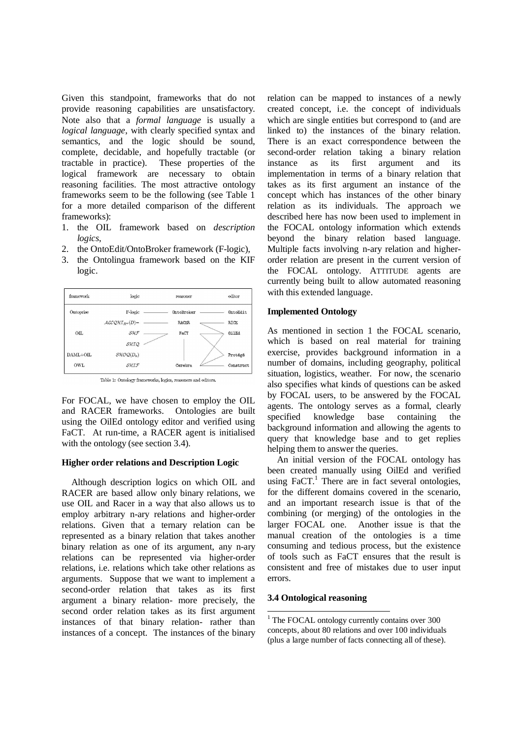Given this standpoint, frameworks that do not provide reasoning capabilities are unsatisfactory. Note also that a *formal language* is usually a *logical language*, with clearly specified syntax and semantics, and the logic should be sound, complete, decidable, and hopefully tractable (or tractable in practice). These properties of the logical framework are necessary to obtain reasoning facilities. The most attractive ontology frameworks seem to be the following (see Table 1 for a more detailed comparison of the different frameworks):

- 1. the OIL framework based on *description logics*,
- 2. the OntoEdit/OntoBroker framework (F-logic),
- 3. the Ontolingua framework based on the KIF logic.



Table 1: Ontology frameworks, logics, reasoners and editors.

For FOCAL, we have chosen to employ the OIL and RACER frameworks. Ontologies are built using the OilEd ontology editor and verified using FaCT. At run-time, a RACER agent is initialised with the ontology (see section 3.4).

#### **Higher order relations and Description Logic**

Although description logics on which OIL and RACER are based allow only binary relations, we use OIL and Racer in a way that also allows us to employ arbitrary n-ary relations and higher-order relations. Given that a ternary relation can be represented as a binary relation that takes another binary relation as one of its argument, any n-ary relations can be represented via higher-order relations, i.e. relations which take other relations as arguments. Suppose that we want to implement a second-order relation that takes as its first argument a binary relation- more precisely, the second order relation takes as its first argument instances of that binary relation- rather than instances of a concept. The instances of the binary

relation can be mapped to instances of a newly created concept, i.e. the concept of individuals which are single entities but correspond to (and are linked to) the instances of the binary relation. There is an exact correspondence between the second-order relation taking a binary relation instance as its first argument and its implementation in terms of a binary relation that takes as its first argument an instance of the concept which has instances of the other binary relation as its individuals. The approach we described here has now been used to implement in the FOCAL ontology information which extends beyond the binary relation based language. Multiple facts involving n-ary relation and higherorder relation are present in the current version of the FOCAL ontology. ATTITUDE agents are currently being built to allow automated reasoning with this extended language.

#### **Implemented Ontology**

As mentioned in section 1 the FOCAL scenario, which is based on real material for training exercise, provides background information in a number of domains, including geography, political situation, logistics, weather. For now, the scenario also specifies what kinds of questions can be asked by FOCAL users, to be answered by the FOCAL agents. The ontology serves as a formal, clearly specified knowledge base containing the background information and allowing the agents to query that knowledge base and to get replies helping them to answer the queries.

An initial version of the FOCAL ontology has been created manually using OilEd and verified using  $\text{FacT}^1$ . There are in fact several ontologies, for the different domains covered in the scenario, and an important research issue is that of the combining (or merging) of the ontologies in the larger FOCAL one. Another issue is that the manual creation of the ontologies is a time consuming and tedious process, but the existence of tools such as FaCT ensures that the result is consistent and free of mistakes due to user input errors.

# **3.4 Ontological reasoning**

 1 The FOCAL ontology currently contains over 300 concepts, about 80 relations and over 100 individuals (plus a large number of facts connecting all of these).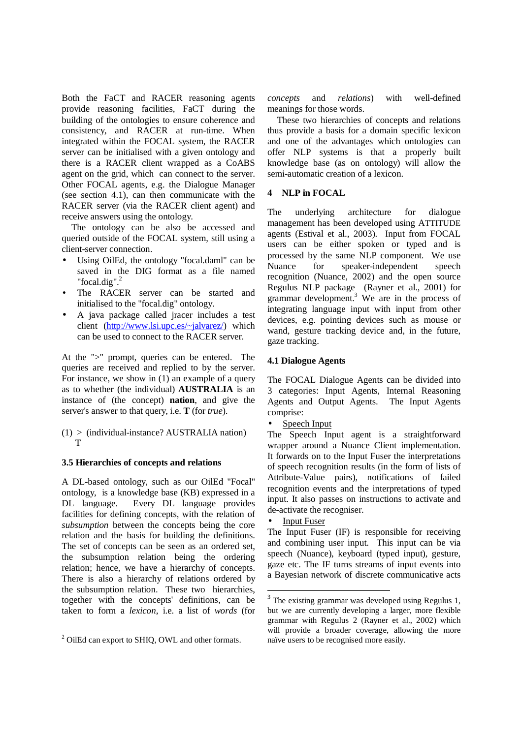Both the FaCT and RACER reasoning agents provide reasoning facilities, FaCT during the building of the ontologies to ensure coherence and consistency, and RACER at run-time. When integrated within the FOCAL system, the RACER server can be initialised with a given ontology and there is a RACER client wrapped as a CoABS agent on the grid, which can connect to the server. Other FOCAL agents, e.g. the Dialogue Manager (see section 4.1), can then communicate with the RACER server (via the RACER client agent) and receive answers using the ontology.

The ontology can be also be accessed and queried outside of the FOCAL system, still using a client-server connection.

- Using OilEd, the ontology "focal.daml" can be saved in the DIG format as a file named "focal.dig". $2$
- The RACER server can be started and initialised to the "focal.dig" ontology.
- A java package called jracer includes a test client (http://www.lsi.upc.es/~jalvarez/) which can be used to connect to the RACER server.

At the ">" prompt, queries can be entered. The queries are received and replied to by the server. For instance, we show in (1) an example of a query as to whether (the individual) **AUSTRALIA** is an instance of (the concept) **nation**, and give the server's answer to that query, i.e. **T** (for *true*).

(1) > (individual-instance? AUSTRALIA nation) T

# **3.5 Hierarchies of concepts and relations**

A DL-based ontology, such as our OilEd "Focal" ontology, is a knowledge base (KB) expressed in a DL language. Every DL language provides facilities for defining concepts, with the relation of *subsumption* between the concepts being the core relation and the basis for building the definitions. The set of concepts can be seen as an ordered set, the subsumption relation being the ordering relation; hence, we have a hierarchy of concepts. There is also a hierarchy of relations ordered by the subsumption relation. These two hierarchies, together with the concepts' definitions, can be taken to form a *lexicon*, i.e. a list of *words* (for

*concepts* and *relations*) with well-defined meanings for those words.

These two hierarchies of concepts and relations thus provide a basis for a domain specific lexicon and one of the advantages which ontologies can offer NLP systems is that a properly built knowledge base (as on ontology) will allow the semi-automatic creation of a lexicon.

# **4 NLP in FOCAL**

The underlying architecture for dialogue management has been developed using ATTITUDE agents (Estival et al., 2003). Input from FOCAL users can be either spoken or typed and is processed by the same NLP component. We use Nuance for speaker-independent speech recognition (Nuance, 2002) and the open source Regulus NLP package (Rayner et al., 2001) for grammar development.<sup>3</sup> We are in the process of integrating language input with input from other devices, e.g. pointing devices such as mouse or wand, gesture tracking device and, in the future, gaze tracking.

# **4.1 Dialogue Agents**

The FOCAL Dialogue Agents can be divided into 3 categories: Input Agents, Internal Reasoning Agents and Output Agents. The Input Agents comprise:

Speech Input

The Speech Input agent is a straightforward wrapper around a Nuance Client implementation. It forwards on to the Input Fuser the interpretations of speech recognition results (in the form of lists of Attribute-Value pairs), notifications of failed recognition events and the interpretations of typed input. It also passes on instructions to activate and de-activate the recogniser.

**Input Fuser** 

 $\overline{a}$ 

The Input Fuser (IF) is responsible for receiving and combining user input. This input can be via speech (Nuance), keyboard (typed input), gesture, gaze etc. The IF turns streams of input events into a Bayesian network of discrete communicative acts

 2 OilEd can export to SHIQ, OWL and other formats.

 $3$  The existing grammar was developed using Regulus 1, but we are currently developing a larger, more flexible grammar with Regulus 2 (Rayner et al., 2002) which will provide a broader coverage, allowing the more naïve users to be recognised more easily.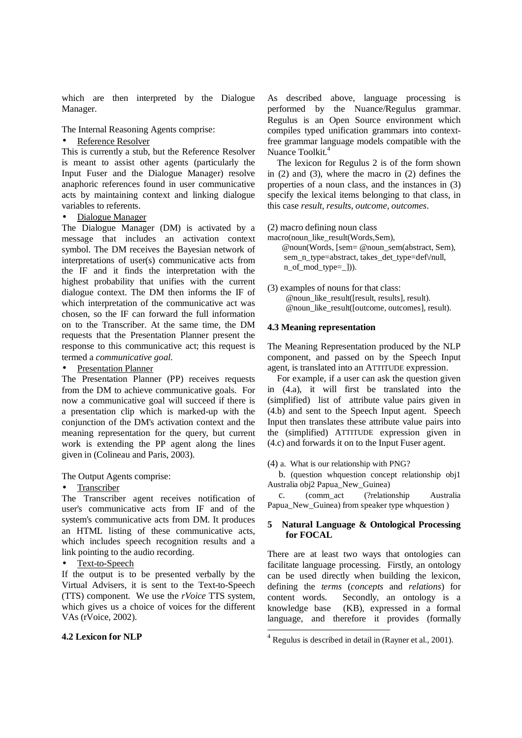which are then interpreted by the Dialogue Manager.

The Internal Reasoning Agents comprise:

### Reference Resolver

This is currently a stub, but the Reference Resolver is meant to assist other agents (particularly the Input Fuser and the Dialogue Manager) resolve anaphoric references found in user communicative acts by maintaining context and linking dialogue variables to referents.

#### • Dialogue Manager

The Dialogue Manager (DM) is activated by a message that includes an activation context symbol. The DM receives the Bayesian network of interpretations of user(s) communicative acts from the IF and it finds the interpretation with the highest probability that unifies with the current dialogue context. The DM then informs the IF of which interpretation of the communicative act was chosen, so the IF can forward the full information on to the Transcriber. At the same time, the DM requests that the Presentation Planner present the response to this communicative act; this request is termed a *communicative goal*.

• Presentation Planner

The Presentation Planner (PP) receives requests from the DM to achieve communicative goals. For now a communicative goal will succeed if there is a presentation clip which is marked-up with the conjunction of the DM's activation context and the meaning representation for the query, but current work is extending the PP agent along the lines given in (Colineau and Paris, 2003).

The Output Agents comprise:

#### • Transcriber

The Transcriber agent receives notification of user's communicative acts from IF and of the system's communicative acts from DM. It produces an HTML listing of these communicative acts, which includes speech recognition results and a link pointing to the audio recording.

Text-to-Speech

If the output is to be presented verbally by the Virtual Advisers, it is sent to the Text-to-Speech (TTS) component. We use the *rVoice* TTS system, which gives us a choice of voices for the different VAs (rVoice, 2002).

### **4.2 Lexicon for NLP**

As described above, language processing is performed by the Nuance/Regulus grammar. Regulus is an Open Source environment which compiles typed unification grammars into contextfree grammar language models compatible with the Nuance Toolkit.<sup>4</sup>

The lexicon for Regulus 2 is of the form shown in (2) and (3), where the macro in (2) defines the properties of a noun class, and the instances in (3) specify the lexical items belonging to that class, in this case *result, results, outcome, outcomes*.

(2) macro defining noun class

macro(noun\_like\_result(Words,Sem), @noun(Words, [sem= @noun\_sem(abstract, Sem), sem\_n\_type=abstract, takes\_det\_type=def\/null, n\_of\_mod\_type=\_])).

(3) examples of nouns for that class: @noun\_like\_result([result, results], result). @noun\_like\_result([outcome, outcomes], result).

#### **4.3 Meaning representation**

The Meaning Representation produced by the NLP component, and passed on by the Speech Input agent, is translated into an ATTITUDE expression.

For example, if a user can ask the question given in (4.a), it will first be translated into the (simplified) list of attribute value pairs given in (4.b) and sent to the Speech Input agent. Speech Input then translates these attribute value pairs into the (simplified) ATTITUDE expression given in (4.c) and forwards it on to the Input Fuser agent.

(4) a. What is our relationship with PNG?

 b. (question whquestion concept relationship obj1 Australia obj2 Papua\_New\_Guinea)

 c. (comm\_act (?relationship Australia Papua\_New\_Guinea) from speaker type whquestion )

#### **5 Natural Language & Ontological Processing for FOCAL**

There are at least two ways that ontologies can facilitate language processing. Firstly, an ontology can be used directly when building the lexicon, defining the *terms* (*concepts* and *relations*) for content words. Secondly, an ontology is a knowledge base (KB), expressed in a formal language, and therefore it provides (formally

 $\overline{a}$ 

 $4$  Regulus is described in detail in (Rayner et al., 2001).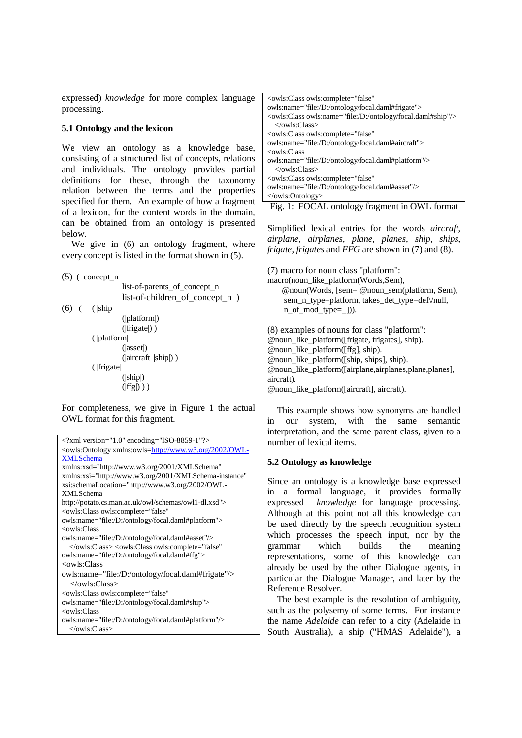expressed) *knowledge* for more complex language processing.

# **5.1 Ontology and the lexicon**

We view an ontology as a knowledge base, consisting of a structured list of concepts, relations and individuals. The ontology provides partial definitions for these, through the taxonomy relation between the terms and the properties specified for them. An example of how a fragment of a lexicon, for the content words in the domain, can be obtained from an ontology is presented below.

We give in  $(6)$  an ontology fragment, where every concept is listed in the format shown in (5).

```
(5) ( concept_n
```
 list-of-parents\_of\_concept\_n list-of-children of concept n)

 $(6)$  (  $|$ ship

 (|platform|) (|frigate|) ) ( |platform| (|asset|) (|aircraft| |ship|) ) ( |frigate| (|ship|)  $(|\text{ffg}|)$ )

For completeness, we give in Figure 1 the actual OWL format for this fragment.



| <owls:class <="" owls:complete="false" th=""></owls:class> |
|------------------------------------------------------------|
| owls:name="file:/D:/ontology/focal.daml#frigate">          |
|                                                            |
| $\langle$ /owls:Class>                                     |
| <owls:class <="" owls:complete="false" th=""></owls:class> |
| owls:name="file:/D:/ontology/focal.daml#aircraft">         |
| <owls:class></owls:class>                                  |
| owls:name="file:/D:/ontology/focal.daml#platform"/>        |
| $\langle$ /owls:Class>                                     |
| <owls:class <="" owls:complete="false" th=""></owls:class> |
| owls:name="file:/D:/ontology/focal.daml#asset"/>           |
| $\langle$ /owls:Ontology>                                  |

Fig. 1: FOCAL ontology fragment in OWL format

Simplified lexical entries for the words *aircraft*, *airplane*, *airplanes*, *plane*, *planes*, *ship*, *ships*, *frigate*, *frigates* and *FFG* are shown in (7) and (8).

(7) macro for noun class "platform": macro(noun\_like\_platform(Words,Sem), @noun(Words, [sem= @noun\_sem(platform, Sem), sem\_n\_type=platform, takes\_det\_type=def\/null, n\_of\_mod\_type=\_])).

(8) examples of nouns for class "platform": @noun\_like\_platform([frigate, frigates], ship). @noun\_like\_platform([ffg], ship). @noun\_like\_platform([ship, ships], ship). @noun\_like\_platform([airplane,airplanes,plane,planes], aircraft).

@noun\_like\_platform([aircraft], aircraft).

This example shows how synonyms are handled in our system, with the same semantic interpretation, and the same parent class, given to a number of lexical items.

# **5.2 Ontology as knowledge**

Since an ontology is a knowledge base expressed in a formal language, it provides formally expressed *knowledge* for language processing. Although at this point not all this knowledge can be used directly by the speech recognition system which processes the speech input, nor by the grammar which builds the meaning representations, some of this knowledge can already be used by the other Dialogue agents, in particular the Dialogue Manager, and later by the Reference Resolver.

The best example is the resolution of ambiguity, such as the polysemy of some terms. For instance the name *Adelaide* can refer to a city (Adelaide in South Australia), a ship ("HMAS Adelaide"), a